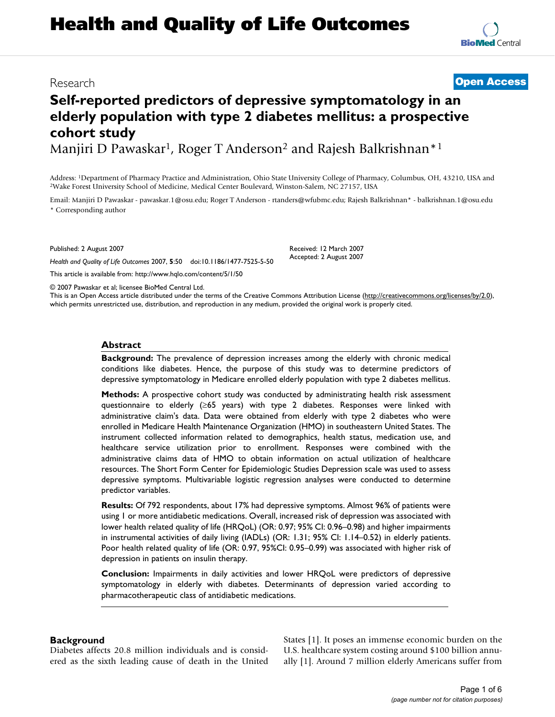# **Health and Quality of Life Outcomes**

### Research **[Open Access](http://www.biomedcentral.com/info/about/charter/)**

## **Self-reported predictors of depressive symptomatology in an elderly population with type 2 diabetes mellitus: a prospective cohort study**

Manjiri D Pawaskar<sup>1</sup>, Roger T Anderson<sup>2</sup> and Rajesh Balkrishnan<sup>\*1</sup>

Address: <sup>1</sup>Department of Pharmacy Practice and Administration, Ohio State University College of Pharmacy, Columbus, OH, 43210, USA and <sup>2</sup>Wake Forest University School of Medicine, Medical Center Boulevard, Winston-Salem,

Email: Manjiri D Pawaskar - pawaskar.1@osu.edu; Roger T Anderson - rtanders@wfubmc.edu; Rajesh Balkrishnan\* - balkrishnan.1@osu.edu \* Corresponding author

Published: 2 August 2007

*Health and Quality of Life Outcomes* 2007, **5**:50 doi:10.1186/1477-7525-5-50

[This article is available from: http://www.hqlo.com/content/5/1/50](http://www.hqlo.com/content/5/1/50)

© 2007 Pawaskar et al; licensee BioMed Central Ltd.

This is an Open Access article distributed under the terms of the Creative Commons Attribution License [\(http://creativecommons.org/licenses/by/2.0\)](http://creativecommons.org/licenses/by/2.0), which permits unrestricted use, distribution, and reproduction in any medium, provided the original work is properly cited.

#### **Abstract**

**Background:** The prevalence of depression increases among the elderly with chronic medical conditions like diabetes. Hence, the purpose of this study was to determine predictors of depressive symptomatology in Medicare enrolled elderly population with type 2 diabetes mellitus.

**Methods:** A prospective cohort study was conducted by administrating health risk assessment questionnaire to elderly (≥65 years) with type 2 diabetes. Responses were linked with administrative claim's data. Data were obtained from elderly with type 2 diabetes who were enrolled in Medicare Health Maintenance Organization (HMO) in southeastern United States. The instrument collected information related to demographics, health status, medication use, and healthcare service utilization prior to enrollment. Responses were combined with the administrative claims data of HMO to obtain information on actual utilization of healthcare resources. The Short Form Center for Epidemiologic Studies Depression scale was used to assess depressive symptoms. Multivariable logistic regression analyses were conducted to determine predictor variables.

**Results:** Of 792 respondents, about 17% had depressive symptoms. Almost 96% of patients were using 1 or more antidiabetic medications. Overall, increased risk of depression was associated with lower health related quality of life (HRQoL) (OR: 0.97; 95% CI: 0.96–0.98) and higher impairments in instrumental activities of daily living (IADLs) (OR: 1.31; 95% CI: 1.14–0.52) in elderly patients. Poor health related quality of life (OR: 0.97, 95%CI: 0.95–0.99) was associated with higher risk of depression in patients on insulin therapy.

**Conclusion:** Impairments in daily activities and lower HRQoL were predictors of depressive symptomatology in elderly with diabetes. Determinants of depression varied according to pharmacotherapeutic class of antidiabetic medications.

#### **Background**

Diabetes affects 20.8 million individuals and is considered as the sixth leading cause of death in the United States [1]. It poses an immense economic burden on the U.S. healthcare system costing around \$100 billion annually [1]. Around 7 million elderly Americans suffer from

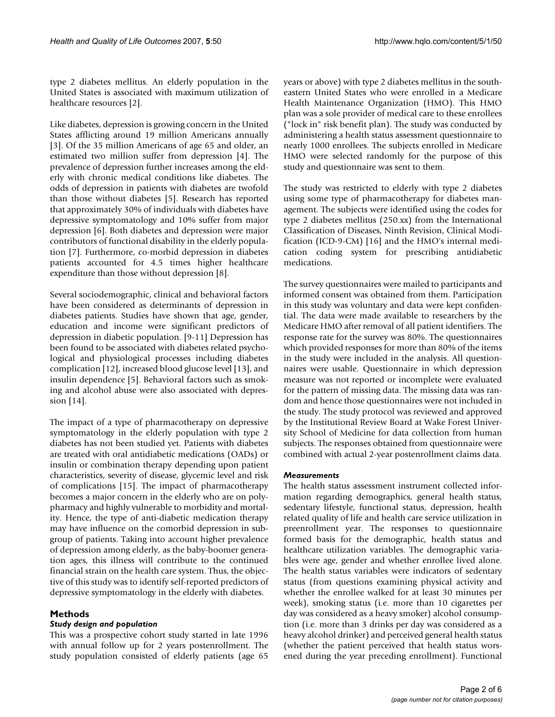type 2 diabetes mellitus. An elderly population in the United States is associated with maximum utilization of healthcare resources [2].

Like diabetes, depression is growing concern in the United States afflicting around 19 million Americans annually [3]. Of the 35 million Americans of age 65 and older, an estimated two million suffer from depression [4]. The prevalence of depression further increases among the elderly with chronic medical conditions like diabetes. The odds of depression in patients with diabetes are twofold than those without diabetes [5]. Research has reported that approximately 30% of individuals with diabetes have depressive symptomatology and 10% suffer from major depression [6]. Both diabetes and depression were major contributors of functional disability in the elderly population [7]. Furthermore, co-morbid depression in diabetes patients accounted for 4.5 times higher healthcare expenditure than those without depression [8].

Several sociodemographic, clinical and behavioral factors have been considered as determinants of depression in diabetes patients. Studies have shown that age, gender, education and income were significant predictors of depression in diabetic population. [9-11] Depression has been found to be associated with diabetes related psychological and physiological processes including diabetes complication [12], increased blood glucose level [13], and insulin dependence [5]. Behavioral factors such as smoking and alcohol abuse were also associated with depression [14].

The impact of a type of pharmacotherapy on depressive symptomatology in the elderly population with type 2 diabetes has not been studied yet. Patients with diabetes are treated with oral antidiabetic medications (OADs) or insulin or combination therapy depending upon patient characteristics, severity of disease, glycemic level and risk of complications [15]. The impact of pharmacotherapy becomes a major concern in the elderly who are on polypharmacy and highly vulnerable to morbidity and mortality. Hence, the type of anti-diabetic medication therapy may have influence on the comorbid depression in subgroup of patients. Taking into account higher prevalence of depression among elderly, as the baby-boomer generation ages, this illness will contribute to the continued financial strain on the health care system. Thus, the objective of this study was to identify self-reported predictors of depressive symptomatology in the elderly with diabetes.

#### **Methods**

#### *Study design and population*

This was a prospective cohort study started in late 1996 with annual follow up for 2 years postenrollment. The study population consisted of elderly patients (age 65

years or above) with type 2 diabetes mellitus in the southeastern United States who were enrolled in a Medicare Health Maintenance Organization (HMO). This HMO plan was a sole provider of medical care to these enrollees ("lock in" risk benefit plan). The study was conducted by administering a health status assessment questionnaire to nearly 1000 enrollees. The subjects enrolled in Medicare HMO were selected randomly for the purpose of this study and questionnaire was sent to them.

The study was restricted to elderly with type 2 diabetes using some type of pharmacotherapy for diabetes management. The subjects were identified using the codes for type 2 diabetes mellitus (250.xx) from the International Classification of Diseases, Ninth Revision, Clinical Modification (ICD-9-CM) [16] and the HMO's internal medication coding system for prescribing antidiabetic medications.

The survey questionnaires were mailed to participants and informed consent was obtained from them. Participation in this study was voluntary and data were kept confidential. The data were made available to researchers by the Medicare HMO after removal of all patient identifiers. The response rate for the survey was 80%. The questionnaires which provided responses for more than 80% of the items in the study were included in the analysis. All questionnaires were usable. Questionnaire in which depression measure was not reported or incomplete were evaluated for the pattern of missing data. The missing data was random and hence those questionnaires were not included in the study. The study protocol was reviewed and approved by the Institutional Review Board at Wake Forest University School of Medicine for data collection from human subjects. The responses obtained from questionnaire were combined with actual 2-year postenrollment claims data.

#### *Measurements*

The health status assessment instrument collected information regarding demographics, general health status, sedentary lifestyle, functional status, depression, health related quality of life and health care service utilization in preenrollment year. The responses to questionnaire formed basis for the demographic, health status and healthcare utilization variables. The demographic variables were age, gender and whether enrollee lived alone. The health status variables were indicators of sedentary status (from questions examining physical activity and whether the enrollee walked for at least 30 minutes per week), smoking status (i.e. more than 10 cigarettes per day was considered as a heavy smoker) alcohol consumption (i.e. more than 3 drinks per day was considered as a heavy alcohol drinker) and perceived general health status (whether the patient perceived that health status worsened during the year preceding enrollment). Functional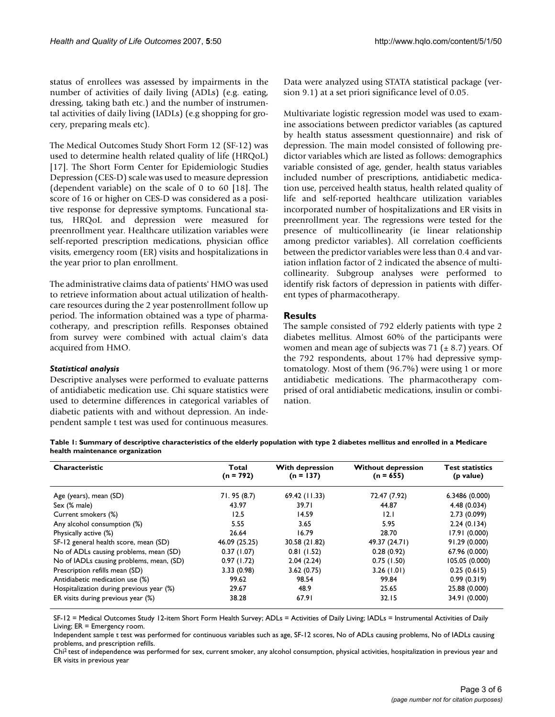The Medical Outcomes Study Short Form 12 (SF-12) was used to determine health related quality of life (HRQoL) [17]. The Short Form Center for Epidemiologic Studies Depression (CES-D) scale was used to measure depression (dependent variable) on the scale of 0 to 60 [18]. The score of 16 or higher on CES-D was considered as a positive response for depressive symptoms. Funcational status, HRQoL and depression were measured for preenrollment year. Healthcare utilization variables were self-reported prescription medications, physician office visits, emergency room (ER) visits and hospitalizations in the year prior to plan enrollment.

The administrative claims data of patients' HMO was used to retrieve information about actual utilization of healthcare resources during the 2 year postenrollment follow up period. The information obtained was a type of pharmacotherapy, and prescription refills. Responses obtained from survey were combined with actual claim's data acquired from HMO.

*Statistical analysis*

Descriptive analyses were performed to evaluate patterns of antidiabetic medication use. Chi square statistics were used to determine differences in categorical variables of diabetic patients with and without depression. An independent sample t test was used for continuous measures.

Data were analyzed using STATA statistical package (version 9.1) at a set priori significance level of 0.05.

Multivariate logistic regression model was used to examine associations between predictor variables (as captured by health status assessment questionnaire) and risk of depression. The main model consisted of following predictor variables which are listed as follows: demographics variable consisted of age, gender, health status variables included number of prescriptions, antidiabetic medication use, perceived health status, health related quality of life and self-reported healthcare utilization variables incorporated number of hospitalizations and ER visits in preenrollment year. The regressions were tested for the presence of multicollinearity (ie linear relationship among predictor variables). All correlation coefficients between the predictor variables were less than 0.4 and variation inflation factor of 2 indicated the absence of multicollinearity. Subgroup analyses were performed to identify risk factors of depression in patients with different types of pharmacotherapy.

#### **Results**

The sample consisted of 792 elderly patients with type 2 diabetes mellitus. Almost 60% of the participants were women and mean age of subjects was  $71$  ( $\pm$  8.7) years. Of the 792 respondents, about 17% had depressive symptomatology. Most of them (96.7%) were using 1 or more antidiabetic medications. The pharmacotherapy comprised of oral antidiabetic medications, insulin or combination.

**Table 1: Summary of descriptive characteristics of the elderly population with type 2 diabetes mellitus and enrolled in a Medicare health maintenance organization**

| Characteristic                           | Total<br>$(n = 792)$ | <b>With depression</b><br>$(n = 137)$ | <b>Without depression</b><br>$(n = 655)$ | <b>Test statistics</b><br>(p value) |
|------------------------------------------|----------------------|---------------------------------------|------------------------------------------|-------------------------------------|
| Age (years), mean (SD)                   | 71.95 (8.7)          | 69.42 (11.33)                         | 72.47 (7.92)                             | 6.3486(0.000)                       |
| Sex (% male)                             | 43.97                | 39.71                                 | 44.87                                    | 4.48(0.034)                         |
| Current smokers (%)                      | 12.5                 | 14.59                                 | 12.1                                     | 2.73(0.099)                         |
| Any alcohol consumption (%)              | 5.55                 | 3.65                                  | 5.95                                     | 2.24(0.134)                         |
| Physically active (%)                    | 26.64                | 16.79                                 | 28.70                                    | 17.91 (0.000)                       |
| SF-12 general health score, mean (SD)    | 46.09 (25.25)        | 30.58 (21.82)                         | 49.37 (24.71)                            | 91.29 (0.000)                       |
| No of ADLs causing problems, mean (SD)   | 0.37(1.07)           | 0.81(1.52)                            | 0.28(0.92)                               | 67.96 (0.000)                       |
| No of IADLs causing problems, mean, (SD) | 0.97(1.72)           | 2.04(2.24)                            | 0.75(1.50)                               | 105.05 (0.000)                      |
| Prescription refills mean (SD)           | 3.33(0.98)           | 3.62(0.75)                            | 3.26(1.01)                               | 0.25(0.615)                         |
| Antidiabetic medication use (%)          | 99.62                | 98.54                                 | 99.84                                    | 0.99(0.319)                         |
| Hospitalization during previous year (%) | 29.67                | 48.9                                  | 25.65                                    | 25.88 (0.000)                       |
| ER visits during previous year (%)       | 38.28                | 67.91                                 | 32.15                                    | 34.91 (0.000)                       |

SF-12 = Medical Outcomes Study 12-item Short Form Health Survey; ADLs = Activities of Daily Living; IADLs = Instrumental Activities of Daily Living; ER = Emergency room.

Independent sample t test was performed for continuous variables such as age, SF-12 scores, No of ADLs causing problems, No of IADLs causing problems, and prescription refills.

Chi2 test of independence was performed for sex, current smoker, any alcohol consumption, physical activities, hospitalization in previous year and ER visits in previous year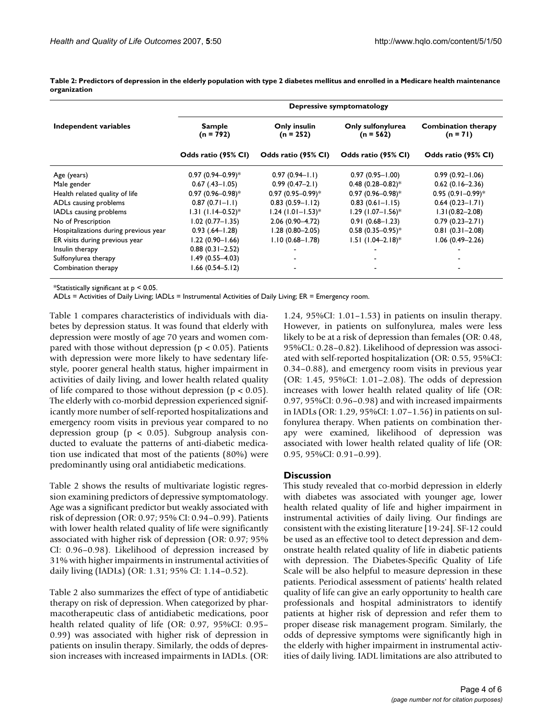|                                       | Depressive symptomatology       |                                 |                                 |                                          |  |
|---------------------------------------|---------------------------------|---------------------------------|---------------------------------|------------------------------------------|--|
| Independent variables                 | <b>Sample</b><br>$(n = 792)$    | Only insulin<br>$(n = 252)$     | Only sulfonylurea<br>(n = 562)  | <b>Combination therapy</b><br>$(n = 71)$ |  |
|                                       | Odds ratio (95% CI)             | Odds ratio (95% CI)             | Odds ratio (95% CI)             | Odds ratio (95% CI)                      |  |
| Age (years)                           | $0.97(0.94 - 0.99)^*$           | $0.97(0.94 - 1.1)$              | $0.97(0.95 - 1.00)$             | $0.99(0.92 - 1.06)$                      |  |
| Male gender                           | $0.67$ $(.43 - 1.05)$           | $0.99(0.47-2.1)$                | $0.48(0.28 - 0.82)^*$           | $0.62(0.16 - 2.36)$                      |  |
| Health related quality of life        | $0.97(0.96 - 0.98)^*$           | $0.97(0.95 - 0.99)^*$           | $0.97(0.96 - 0.98)^*$           | $0.95(0.91 - 0.99)^*$                    |  |
| ADLs causing problems                 | $0.87(0.71 - 1.1)$              | $0.83(0.59 - 1.12)$             | $0.83(0.61 - 1.15)$             | $0.64(0.23 - 1.71)$                      |  |
| IADLs causing problems                | $1.31$ (1.14-0.52) <sup>*</sup> | $1.24$ (1.01–1.53) <sup>*</sup> | $1.29$ (1.07-1.56)*             | $1.31(0.82 - 2.08)$                      |  |
| No of Prescription                    | $1.02(0.77 - 1.35)$             | $2.06(0.90 - 4.72)$             | $0.91(0.68 - 1.23)$             | $0.79(0.23 - 2.71)$                      |  |
| Hospitalizations during previous year | $0.93(.64 - 1.28)$              | $1.28(0.80 - 2.05)$             | $0.58(0.35 - 0.95)^*$           | $0.81(0.31 - 2.08)$                      |  |
| ER visits during previous year        | $1.22(0.90 - 1.66)$             | $1.10(0.68 - 1.78)$             | $1.51$ (1.04-2.18) <sup>*</sup> | $1.06(0.49 - 2.26)$                      |  |
| Insulin therapy                       | $0.88(0.31 - 2.52)$             |                                 |                                 |                                          |  |
| Sulfonylurea therapy                  | $1.49(0.55 - 4.03)$             |                                 |                                 |                                          |  |
| Combination therapy                   | $1.66$ (0.54-5.12)              |                                 |                                 |                                          |  |

**Table 2: Predictors of depression in the elderly population with type 2 diabetes mellitus and enrolled in a Medicare health maintenance organization**

\*Statistically significant at  $p < 0.05$ .

ADLs = Activities of Daily Living; IADLs = Instrumental Activities of Daily Living; ER = Emergency room.

Table 1 compares characteristics of individuals with diabetes by depression status. It was found that elderly with depression were mostly of age 70 years and women compared with those without depression ( $p < 0.05$ ). Patients with depression were more likely to have sedentary lifestyle, poorer general health status, higher impairment in activities of daily living, and lower health related quality of life compared to those without depression ( $p < 0.05$ ). The elderly with co-morbid depression experienced significantly more number of self-reported hospitalizations and emergency room visits in previous year compared to no depression group ( $p < 0.05$ ). Subgroup analysis conducted to evaluate the patterns of anti-diabetic medication use indicated that most of the patients (80%) were predominantly using oral antidiabetic medications.

Table 2 shows the results of multivariate logistic regression examining predictors of depressive symptomatology. Age was a significant predictor but weakly associated with risk of depression (OR: 0.97; 95% CI: 0.94–0.99). Patients with lower health related quality of life were significantly associated with higher risk of depression (OR: 0.97; 95% CI: 0.96–0.98). Likelihood of depression increased by 31% with higher impairments in instrumental activities of daily living (IADLs) (OR: 1.31; 95% CI: 1.14–0.52).

Table 2 also summarizes the effect of type of antidiabetic therapy on risk of depression. When categorized by pharmacotherapeutic class of antidiabetic medications, poor health related quality of life (OR: 0.97, 95%CI: 0.95– 0.99) was associated with higher risk of depression in patients on insulin therapy. Similarly, the odds of depression increases with increased impairments in IADLs. (OR: 1.24, 95%CI: 1.01–1.53) in patients on insulin therapy. However, in patients on sulfonylurea, males were less likely to be at a risk of depression than females (OR: 0.48, 95%CL: 0.28–0.82). Likelihood of depression was associated with self-reported hospitalization (OR: 0.55, 95%CI: 0.34–0.88), and emergency room visits in previous year (OR: 1.45, 95%CI: 1.01–2.08). The odds of depression increases with lower health related quality of life (OR: 0.97, 95%CI: 0.96–0.98) and with increased impairments in IADLs (OR: 1.29, 95%CI: 1.07–1.56) in patients on sulfonylurea therapy. When patients on combination therapy were examined, likelihood of depression was associated with lower health related quality of life (OR: 0.95, 95%CI: 0.91–0.99).

#### **Discussion**

This study revealed that co-morbid depression in elderly with diabetes was associated with younger age, lower health related quality of life and higher impairment in instrumental activities of daily living. Our findings are consistent with the existing literature [19-24]. SF-12 could be used as an effective tool to detect depression and demonstrate health related quality of life in diabetic patients with depression. The Diabetes-Specific Quality of Life Scale will be also helpful to measure depression in these patients. Periodical assessment of patients' health related quality of life can give an early opportunity to health care professionals and hospital administrators to identify patients at higher risk of depression and refer them to proper disease risk management program. Similarly, the odds of depressive symptoms were significantly high in the elderly with higher impairment in instrumental activities of daily living. IADL limitations are also attributed to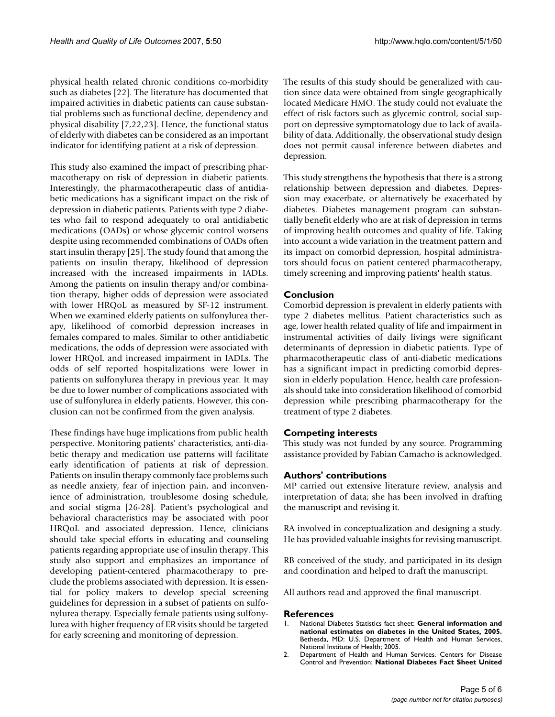physical health related chronic conditions co-morbidity such as diabetes [22]. The literature has documented that impaired activities in diabetic patients can cause substantial problems such as functional decline, dependency and physical disability [7,22,23]. Hence, the functional status of elderly with diabetes can be considered as an important indicator for identifying patient at a risk of depression.

This study also examined the impact of prescribing pharmacotherapy on risk of depression in diabetic patients. Interestingly, the pharmacotherapeutic class of antidiabetic medications has a significant impact on the risk of depression in diabetic patients. Patients with type 2 diabetes who fail to respond adequately to oral antidiabetic medications (OADs) or whose glycemic control worsens despite using recommended combinations of OADs often start insulin therapy [25]. The study found that among the patients on insulin therapy, likelihood of depression increased with the increased impairments in IADLs. Among the patients on insulin therapy and/or combination therapy, higher odds of depression were associated with lower HRQoL as measured by SF-12 instrument. When we examined elderly patients on sulfonylurea therapy, likelihood of comorbid depression increases in females compared to males. Similar to other antidiabetic medications, the odds of depression were associated with lower HRQoL and increased impairment in IADLs. The odds of self reported hospitalizations were lower in patients on sulfonylurea therapy in previous year. It may be due to lower number of complications associated with use of sulfonylurea in elderly patients. However, this conclusion can not be confirmed from the given analysis.

These findings have huge implications from public health perspective. Monitoring patients' characteristics, anti-diabetic therapy and medication use patterns will facilitate early identification of patients at risk of depression. Patients on insulin therapy commonly face problems such as needle anxiety, fear of injection pain, and inconvenience of administration, troublesome dosing schedule, and social stigma [26-28]. Patient's psychological and behavioral characteristics may be associated with poor HRQoL and associated depression. Hence, clinicians should take special efforts in educating and counseling patients regarding appropriate use of insulin therapy. This study also support and emphasizes an importance of developing patient-centered pharmacotherapy to preclude the problems associated with depression. It is essential for policy makers to develop special screening guidelines for depression in a subset of patients on sulfonylurea therapy. Especially female patients using sulfonylurea with higher frequency of ER visits should be targeted for early screening and monitoring of depression.

The results of this study should be generalized with caution since data were obtained from single geographically located Medicare HMO. The study could not evaluate the effect of risk factors such as glycemic control, social support on depressive symptomatology due to lack of availability of data. Additionally, the observational study design does not permit causal inference between diabetes and depression.

This study strengthens the hypothesis that there is a strong relationship between depression and diabetes. Depression may exacerbate, or alternatively be exacerbated by diabetes. Diabetes management program can substantially benefit elderly who are at risk of depression in terms of improving health outcomes and quality of life. Taking into account a wide variation in the treatment pattern and its impact on comorbid depression, hospital administrators should focus on patient centered pharmacotherapy, timely screening and improving patients' health status.

#### **Conclusion**

Comorbid depression is prevalent in elderly patients with type 2 diabetes mellitus. Patient characteristics such as age, lower health related quality of life and impairment in instrumental activities of daily livings were significant determinants of depression in diabetic patients. Type of pharmacotherapeutic class of anti-diabetic medications has a significant impact in predicting comorbid depression in elderly population. Hence, health care professionals should take into consideration likelihood of comorbid depression while prescribing pharmacotherapy for the treatment of type 2 diabetes.

#### **Competing interests**

This study was not funded by any source. Programming assistance provided by Fabian Camacho is acknowledged.

#### **Authors' contributions**

MP carried out extensive literature review, analysis and interpretation of data; she has been involved in drafting the manuscript and revising it.

RA involved in conceptualization and designing a study. He has provided valuable insights for revising manuscript.

RB conceived of the study, and participated in its design and coordination and helped to draft the manuscript.

All authors read and approved the final manuscript.

#### **References**

- 1. National Diabetes Statistics fact sheet: **General information and national estimates on diabetes in the United States, 2005.** Bethesda, MD: U.S. Department of Health and Human Services, National Institute of Health; 2005.
- 2. Department of Health and Human Services. Centers for Disease Control and Prevention: **National Diabetes Fact Sheet United**